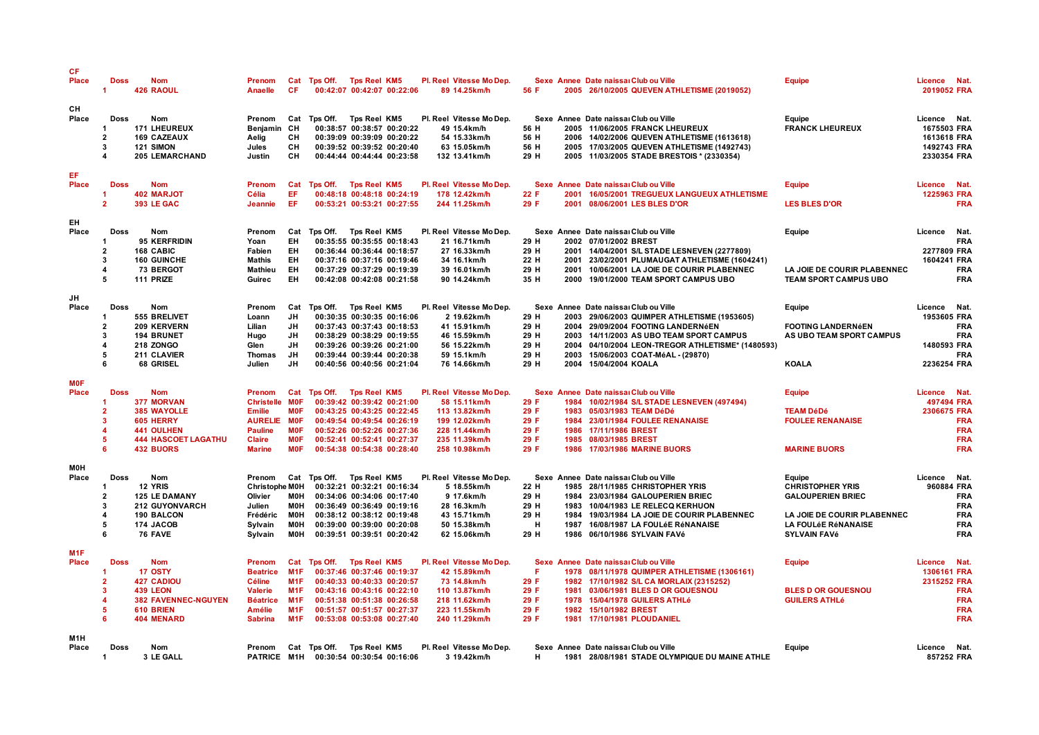| <b>CF</b><br>Place               | <b>Doss</b><br>-1                                                                               | <b>Nom</b><br><b>426 RAOUL</b>                                                                                                     | Prenom<br>Anaelle                                                                                                   | Cat<br><b>CF</b>                                                                                                            | Tps Off. Tps Reel KM5                                   |                            | 00:42:07 00:42:07 00:22:06                                                                                                                                                       | Pl. Reel Vitesse Mo Dep.<br>89 14.25km/h                                                                                      | 56 F                                         |                              | Sexe Annee Date naissal Club ou Ville<br>2005 26/10/2005 QUEVEN ATHLETISME (2019052)                                                                                                                                                                       | Equipe                                                                                                                                     | Licence Nat.<br>2019052 FRA                                              |                                                                    |
|----------------------------------|-------------------------------------------------------------------------------------------------|------------------------------------------------------------------------------------------------------------------------------------|---------------------------------------------------------------------------------------------------------------------|-----------------------------------------------------------------------------------------------------------------------------|---------------------------------------------------------|----------------------------|----------------------------------------------------------------------------------------------------------------------------------------------------------------------------------|-------------------------------------------------------------------------------------------------------------------------------|----------------------------------------------|------------------------------|------------------------------------------------------------------------------------------------------------------------------------------------------------------------------------------------------------------------------------------------------------|--------------------------------------------------------------------------------------------------------------------------------------------|--------------------------------------------------------------------------|--------------------------------------------------------------------|
| CН<br>Place                      | Doss<br>-1<br>$\overline{2}$<br>3<br>$\boldsymbol{\Lambda}$                                     | Nom<br><b>171 LHEUREUX</b><br><b>169 CAZEAUX</b><br>121 SIMON<br>205 LEMARCHAND                                                    | Prenom<br>Benjamin CH<br>Aelig<br>Jules<br>Justin                                                                   | Cat<br>CН<br>CН<br>CН                                                                                                       | Tps Off.                                                | Tps Reel KM5               | 00:38:57 00:38:57 00:20:22<br>00:39:09 00:39:09 00:20:22<br>00:39:52 00:39:52 00:20:40<br>00:44:44 00:44:44 00:23:58                                                             | Pl. Reel Vitesse Mo Dep.<br>49 15.4km/h<br>54 15.33km/h<br>63 15.05km/h<br>132 13.41km/h                                      | 56 H<br>56 H<br>56 H<br>29 H                 |                              | Sexe Annee Date naissal Club ou Ville<br>2005 11/06/2005 FRANCK LHEUREUX<br>2006 14/02/2006 QUEVEN ATHLETISME (1613618)<br>2005 17/03/2005 QUEVEN ATHLETISME (1492743)<br>2005 11/03/2005 STADE BRESTOIS * (2330354)                                       | Equipe<br><b>FRANCK LHEUREUX</b>                                                                                                           | Licence Nat.<br>1675503 FRA<br>1613618 FRA<br>1492743 FRA<br>2330354 FRA |                                                                    |
| EF<br>Place                      | <b>Doss</b><br>-1<br>$\overline{2}$                                                             | <b>Nom</b><br><b>402 MARJOT</b><br><b>393 LE GAC</b>                                                                               | Prenom<br>Célia<br>Jeannie                                                                                          | Cat<br>EF.<br>EF                                                                                                            | Tps Off. Tps Reel KM5                                   |                            | 00:48:18 00:48:18 00:24:19<br>00:53:21 00:53:21 00:27:55                                                                                                                         | Pl. Reel Vitesse Mo Dep.<br>178 12.42km/h<br>244 11.25km/h                                                                    | 22 F<br>29 F                                 |                              | Sexe Annee Date naissal Club ou Ville<br>2001 16/05/2001 TREGUEUX LANGUEUX ATHLETISME<br>2001 08/06/2001 LES BLES D'OR                                                                                                                                     | <b>Equipe</b><br><b>LES BLES D'OR</b>                                                                                                      | Licence Nat.<br>1225963 FRA                                              | <b>FRA</b>                                                         |
| EH<br>Place                      | <b>Doss</b><br>-1<br>$\overline{2}$<br>3<br>$\boldsymbol{4}$                                    | Nom<br>95 KERFRIDIN<br>168 CABIC<br><b>160 GUINCHE</b><br>73 BERGOT                                                                | Prenom<br>Yoan<br>Fabien<br>Mathis<br>Mathieu                                                                       | Cat<br>EH<br><b>EH</b><br><b>EH</b><br>EH                                                                                   | Tps Off.                                                | Tps Reel KM5               | 00:35:55 00:35:55 00:18:43<br>00:36:44 00:36:44 00:18:57<br>00:37:16 00:37:16 00:19:46<br>00:37:29 00:37:29 00:19:39                                                             | Pl. Reel Vitesse Mo Dep.<br>21 16.71km/h<br>27 16.33km/h<br>34 16.1km/h<br>39 16.01km/h                                       | 29 H<br>29 H<br>22 H<br>29 H                 | 2001<br>2001                 | Sexe Annee Date naissal Club ou Ville<br>2002 07/01/2002 BREST<br>2001 14/04/2001 S/L STADE LESNEVEN (2277809)<br>23/02/2001 PLUMAUGAT ATHLETISME (1604241)<br>10/06/2001 LA JOIE DE COURIR PLABENNEC                                                      | Equipe<br>LA JOIE DE COURIR PLABENNEC                                                                                                      | Licence<br>2277809 FRA<br>1604241 FRA                                    | Nat.<br>FRA<br><b>FRA</b>                                          |
| JH<br>Place                      | 5<br>Doss                                                                                       | 111 PRIZE<br>Nom                                                                                                                   | Guirec<br>Prenom                                                                                                    | EH<br>Cat                                                                                                                   | Tps Off. Tps Reel KM5                                   |                            | 00:42:08 00:42:08 00:21:58                                                                                                                                                       | 90 14.24km/h<br>Pl. Reel Vitesse Mo Dep.                                                                                      | 35 H                                         | 2000                         | 19/01/2000 TEAM SPORT CAMPUS UBO<br>Sexe Annee Date naissal Club ou Ville                                                                                                                                                                                  | <b>TEAM SPORT CAMPUS UBO</b><br>Equipe                                                                                                     | Licence Nat                                                              | <b>FRA</b>                                                         |
|                                  | -1<br>$\overline{2}$<br>3<br>$\boldsymbol{4}$<br>5                                              | 555 BRELIVET<br>209 KERVERN<br><b>194 BRUNET</b><br>218 ZONGO<br>211 CLAVIER                                                       | Loann<br>Lilian<br>Hugo<br>Glen<br><b>Thomas</b>                                                                    | <b>JH</b><br>JH<br><b>JH</b><br>JH<br>JH                                                                                    |                                                         |                            | 00:30:35 00:30:35 00:16:06<br>00:37:43 00:37:43 00:18:53<br>00:38:29 00:38:29 00:19:55<br>00:39:26 00:39:26 00:21:00<br>00:39:44 00:39:44 00:20:38                               | 2 19.62km/h<br>41 15.91km/h<br>46 15.59km/h<br>56 15.22km/h<br>59 15.1km/h                                                    | 29 H<br>29 H<br>29 H<br>29 H<br>29 H         | 2003<br>2004<br>2003         | 2003 29/06/2003 QUIMPER ATHLETISME (1953605)<br>2004 29/09/2004 FOOTING LANDERNéEN<br>14/11/2003 AS UBO TEAM SPORT CAMPUS<br>04/10/2004 LEON-TREGOR ATHLETISME* (1480593)<br>15/06/2003 COAT-MéAL - (29870)                                                | <b>FOOTING LANDERNÉEN</b><br>AS UBO TEAM SPORT CAMPUS                                                                                      | 1953605 FRA<br>1480593 FRA                                               | <b>FRA</b><br><b>FRA</b><br><b>FRA</b>                             |
| <b>MOF</b>                       | 6                                                                                               | 68 GRISEL                                                                                                                          | Julien                                                                                                              | JH                                                                                                                          |                                                         |                            | 00:40:56 00:40:56 00:21:04                                                                                                                                                       | 76 14.66km/h                                                                                                                  | 29 H                                         |                              | 2004 15/04/2004 KOALA                                                                                                                                                                                                                                      | <b>KOALA</b>                                                                                                                               | 2236254 FRA                                                              |                                                                    |
| Place                            | <b>Doss</b><br>$\overline{\mathbf{2}}$<br>3<br>$\boldsymbol{4}$<br>-5<br>6                      | Nom<br><b>377 MORVAN</b><br><b>385 WAYOLLE</b><br>605 HERRY<br><b>441 OULHEN</b><br><b>444 HASCOET LAGATHU</b><br><b>432 BUORS</b> | Prenom<br><b>Christelle MOF</b><br>Emilie<br><b>AURELIE MOF</b><br><b>Pauline</b><br><b>Claire</b><br><b>Marine</b> | Cat<br><b>MOF</b><br><b>MOF</b><br><b>MOF</b><br><b>MOF</b>                                                                 | Tps Off. Tps Reel KM5                                   |                            | 00:39:42 00:39:42 00:21:00<br>00:43:25 00:43:25 00:22:45<br>00:49:54 00:49:54 00:26:19<br>00:52:26 00:52:26 00:27:36<br>00:52:41 00:52:41 00:27:37<br>00:54:38 00:54:38 00:28:40 | Pl. Reel Vitesse Mo Dep.<br>58 15.11km/h<br>113 13.82km/h<br>199 12.02km/h<br>228 11.44km/h<br>235 11.39km/h<br>258 10.98km/h | 29 F<br>29 F<br>29 F<br>29 F<br>29 F<br>29 F | 1983<br>1985<br>1986         | Sexe Annee Date naissal Club ou Ville<br>1984 10/02/1984 S/L STADE LESNEVEN (497494)<br>05/03/1983 TEAM DéDé<br>1984 23/01/1984 FOULEE RENANAISE<br>1986 17/11/1986 BREST<br>08/03/1985 BREST<br><b>17/03/1986 MARINE BUORS</b>                            | Equipe<br><b>TEAM DéDé</b><br><b>FOULEE RENANAISE</b><br><b>MARINE BUORS</b>                                                               | Licence Nat.<br>497494 FRA<br>2306675 FRA                                | <b>FRA</b><br><b>FRA</b><br><b>FRA</b><br><b>FRA</b>               |
| <b>MOH</b><br>Place              | Doss<br>$\mathbf{1}$<br>$\overline{2}$<br>$\overline{\mathbf{3}}$<br>$\boldsymbol{4}$<br>5<br>6 | Nom<br><b>12 YRIS</b><br><b>125 LE DAMANY</b><br>212 GUYONVARCH<br><b>190 BALCON</b><br>174 JACOB<br>76 FAVE                       | Prenom<br><b>Christophe M0H</b><br>Olivier<br>Julien<br>Frédéric<br>Sylvain<br>Sylvain                              | <b>MOH</b><br><b>MOH</b><br>MOH<br><b>MOH</b><br><b>MOH</b>                                                                 | Cat Tps Off. Tps Reel KM5                               |                            | 00:32:21 00:32:21 00:16:34<br>00:34:06 00:34:06 00:17:40<br>00:36:49 00:36:49 00:19:16<br>00:38:12 00:38:12 00:19:48<br>00:39:00 00:39:00 00:20:08<br>00:39:51 00:39:51 00:20:42 | Pl. Reel Vitesse Mo Dep.<br>5 18.55km/h<br>9 17.6km/h<br>28 16.3km/h<br>43 15.71km/h<br>50 15.38km/h<br>62 15.06km/h          | 22 H<br>29 H<br>29 H<br>29 H<br>н<br>29 H    | 1984<br>1983<br>1984<br>1987 | Sexe Annee Date naissal Club ou Ville<br>1985 28/11/1985 CHRISTOPHER YRIS<br>23/03/1984 GALOUPERIEN BRIEC<br>10/04/1983 LE RELECQ KERHUON<br>19/03/1984 LA JOIE DE COURIR PLABENNEC<br>16/08/1987 LA FOULÉE RÉNANAISE<br>1986 06/10/1986 SYLVAIN FAVé      | Equipe<br><b>CHRISTOPHER YRIS</b><br><b>GALOUPERIEN BRIEC</b><br>LA JOIE DE COURIR PLABENNEC<br>LA FOULÉE RÉNANAISE<br><b>SYLVAIN FAVé</b> | Licence Nat.<br>960884 FRA                                               | <b>FRA</b><br><b>FRA</b><br><b>FRA</b><br><b>FRA</b><br><b>FRA</b> |
| M <sub>1</sub> F<br><b>Place</b> | <b>Doss</b><br>-1<br>$\overline{2}$<br>-3<br>$\overline{4}$<br>5<br>-6                          | <b>Nom</b><br>17 OSTY<br><b>427 CADIOU</b><br><b>439 LEON</b><br><b>382 FAVENNEC-NGUYEN</b><br>610 BRIEN<br><b>404 MENARD</b>      | Prenom<br><b>Beatrice</b><br><b>Céline</b><br><b>Valerie</b><br><b>Béatrice</b><br><b>Amélie</b><br><b>Sabrina</b>  | Cat<br>M <sub>1</sub> F<br>M <sub>1</sub> F<br>M <sub>1</sub> F<br>M <sub>1</sub> F<br>M <sub>1</sub> F<br>M <sub>1</sub> F | Tps Off. Tps Reel KM5                                   | 00:51:57 00:51:57 00:27:37 | 00:37:46 00:37:46 00:19:37<br>00:40:33 00:40:33 00:20:57<br>00:43:16 00:43:16 00:22:10<br>00:51:38 00:51:38 00:26:58<br>00:53:08 00:53:08 00:27:40                               | Pl. Reel Vitesse Mo Dep.<br>42 15.89km/h<br>73 14.8km/h<br>110 13.87km/h<br>218 11.62km/h<br>223 11.55km/h<br>240 11.29km/h   | F<br>29 F<br>29 F<br>29 F<br>29 F<br>29 F    | 1978                         | Sexe Annee Date naissal Club ou Ville<br>1978 08/11/1978 QUIMPER ATHLETISME (1306161)<br>1982 17/10/1982 S/L CA MORLAIX (2315252)<br>1981 03/06/1981 BLES D OR GOUESNOU<br>15/04/1978 GUILERS ATHLé<br>1982 15/10/1982 BREST<br>1981 17/10/1981 PLOUDANIEL | <b>Equipe</b><br><b>BLES D OR GOUESNOU</b><br><b>GUILERS ATHLé</b>                                                                         | Licence<br>1306161 FRA<br>2315252 FRA                                    | <b>Nat</b><br><b>FRA</b><br><b>FRA</b><br><b>FRA</b><br><b>FRA</b> |
| M <sub>1</sub> H<br>Place        | Doss<br>$\mathbf{1}$                                                                            | <b>Nom</b><br>3 LE GALL                                                                                                            | Prenom<br>PATRICE M1H                                                                                               |                                                                                                                             | Cat Tps Off. Tps Reel KM5<br>00:30:54 00:30:54 00:16:06 |                            |                                                                                                                                                                                  | Pl. Reel Vitesse Mo Dep.<br>3 19.42km/h                                                                                       | н                                            |                              | Sexe Annee Date naissal Club ou Ville<br>1981 28/08/1981 STADE OLYMPIQUE DU MAINE ATHLE                                                                                                                                                                    | Equipe                                                                                                                                     | Licence Nat.<br>857252 FRA                                               |                                                                    |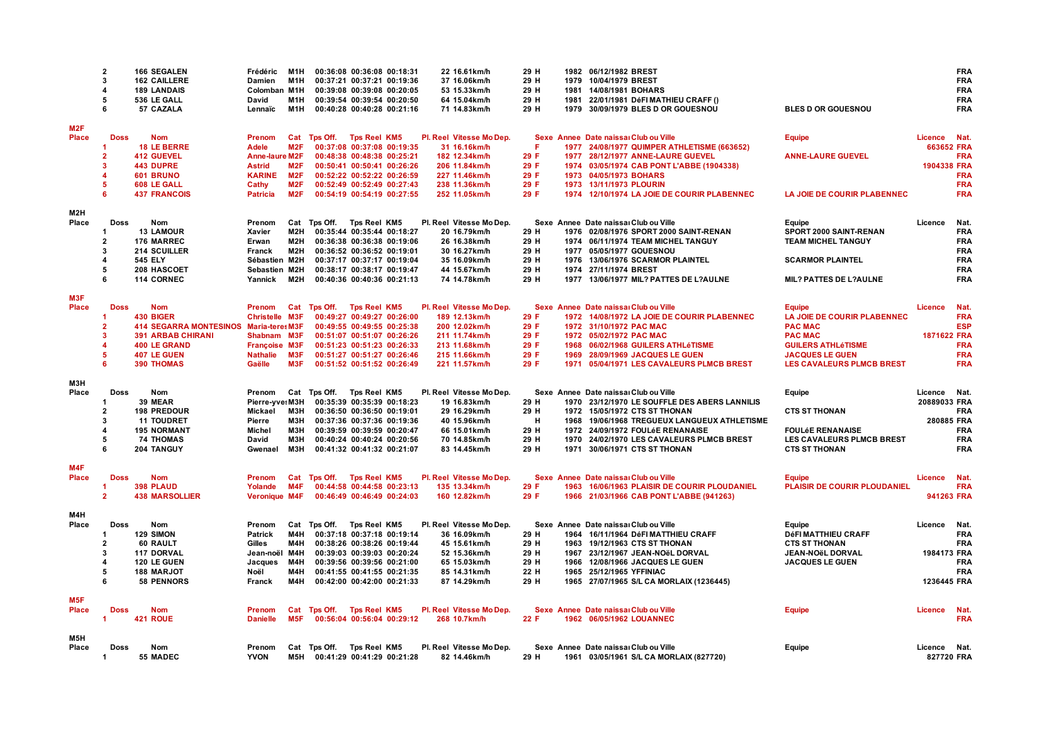|                  | $\overline{2}$<br>3<br>$\overline{a}$<br>5<br>6 | <b>166 SEGALEN</b><br><b>162 CAILLERE</b><br><b>189 LANDAIS</b><br>536 LE GALL<br>57 CAZALA | Frédéric<br>Damien<br>Colomban M1H<br>David<br>Lennaïc | M <sub>1</sub> H<br>M1H<br>M <sub>1</sub> H<br>M1H |                           |                     | 00:36:08 00:36:08 00:18:31<br>00:37:21 00:37:21 00:19:36<br>00:39:08 00:39:08 00:20:05<br>00:39:54 00:39:54 00:20:50<br>00:40:28 00:40:28 00:21:16 | 22 16.61km/h<br>37 16.06km/h<br>53 15.33km/h<br>64 15.04km/h<br>71 14.83km/h | 29 H<br>29 H<br>29 H<br>29 H<br>29 H | 1981<br>1981 | 1982 06/12/1982 BREST<br>1979 10/04/1979 BREST<br>14/08/1981 BOHARS<br>22/01/1981 DéFI MATHIEU CRAFF ()<br>1979 30/09/1979 BLES D OR GOUESNOU | <b>BLES D OR GOUESNOU</b>                     |              | <b>FRA</b><br><b>FRA</b><br><b>FRA</b><br><b>FRA</b><br><b>FRA</b> |
|------------------|-------------------------------------------------|---------------------------------------------------------------------------------------------|--------------------------------------------------------|----------------------------------------------------|---------------------------|---------------------|----------------------------------------------------------------------------------------------------------------------------------------------------|------------------------------------------------------------------------------|--------------------------------------|--------------|-----------------------------------------------------------------------------------------------------------------------------------------------|-----------------------------------------------|--------------|--------------------------------------------------------------------|
| M2F<br>Place     | <b>Doss</b>                                     | <b>Nom</b>                                                                                  | <b>Prenom</b>                                          |                                                    |                           |                     |                                                                                                                                                    |                                                                              |                                      |              |                                                                                                                                               |                                               | Licence      | Nat.                                                               |
|                  |                                                 | <b>18 LE BERRE</b>                                                                          | <b>Adele</b>                                           | M <sub>2</sub> F                                   | Cat Tps Off. Tps Reel KM5 |                     | 00:37:08 00:37:08 00:19:35                                                                                                                         | Pl. Reel Vitesse Mo Dep.<br>31 16.16km/h                                     | Æ.                                   |              | Sexe Annee Date naissal Club ou Ville<br>1977 24/08/1977 QUIMPER ATHLETISME (663652)                                                          | <b>Equipe</b>                                 | 663652 FRA   |                                                                    |
|                  | $\overline{2}$                                  | <b>412 GUEVEL</b>                                                                           | <b>Anne-laure M2F</b>                                  |                                                    |                           |                     | 00:48:38 00:48:38 00:25:21                                                                                                                         | 182 12.34km/h                                                                | 29 F                                 |              | 1977 28/12/1977 ANNE-LAURE GUEVEL                                                                                                             | <b>ANNE-LAURE GUEVEL</b>                      |              | <b>FRA</b>                                                         |
|                  | 3                                               | <b>443 DUPRE</b>                                                                            | <b>Astrid</b>                                          | M2F                                                |                           |                     | 00:50:41 00:50:41 00:26:26                                                                                                                         | 206 11.84km/h                                                                | 29 F                                 |              | 1974 03/05/1974 CAB PONT L'ABBE (1904338)                                                                                                     |                                               | 1904338 FRA  |                                                                    |
|                  | $\boldsymbol{\Lambda}$                          | 601 BRUNO                                                                                   | <b>KARINE</b>                                          | M2F                                                |                           |                     | 00:52:22 00:52:22 00:26:59                                                                                                                         | 227 11.46km/h                                                                | 29 F                                 |              | 1973 04/05/1973 BOHARS                                                                                                                        |                                               |              | <b>FRA</b>                                                         |
|                  | 5                                               | 608 LE GALL                                                                                 | Cathy                                                  | M2F                                                |                           |                     | 00:52:49 00:52:49 00:27:43                                                                                                                         | 238 11.36km/h                                                                | 29 F                                 |              | 1973 13/11/1973 PLOURIN                                                                                                                       |                                               |              | <b>FRA</b>                                                         |
|                  | 6                                               | <b>437 FRANCOIS</b>                                                                         | <b>Patricia</b>                                        | M2F                                                |                           |                     | 00:54:19 00:54:19 00:27:55                                                                                                                         | 252 11.05km/h                                                                | 29 F                                 |              | 1974 12/10/1974 LA JOIE DE COURIR PLABENNEC                                                                                                   | LA JOIE DE COURIR PLABENNEC                   |              | <b>FRA</b>                                                         |
| M2H              |                                                 |                                                                                             |                                                        |                                                    |                           |                     |                                                                                                                                                    |                                                                              |                                      |              |                                                                                                                                               |                                               |              |                                                                    |
| Place            | <b>Doss</b>                                     | Nom                                                                                         | Prenom                                                 | Cat                                                | Tps Off. Tps Reel KM5     |                     |                                                                                                                                                    | Pl. Reel Vitesse Mo Dep.                                                     |                                      |              | Sexe Annee Date naissal Club ou Ville                                                                                                         | Equipe                                        | Licence      | Nat.                                                               |
|                  | -1                                              | <b>13 LAMOUR</b>                                                                            | Xavier                                                 | M <sub>2</sub> H                                   |                           |                     | 00:35:44 00:35:44 00:18:27                                                                                                                         | 20 16.79km/h                                                                 | 29 H                                 |              | 1976 02/08/1976 SPORT 2000 SAINT-RENAN                                                                                                        | SPORT 2000 SAINT-RENAN                        |              | <b>FRA</b>                                                         |
|                  | $\overline{2}$<br>3                             | 176 MARREC                                                                                  | Erwan                                                  | M2H<br>M2H                                         |                           |                     | 00:36:38 00:36:38 00:19:06                                                                                                                         | 26 16.38km/h                                                                 | 29 H                                 |              | 1974 06/11/1974 TEAM MICHEL TANGUY                                                                                                            | <b>TEAM MICHEL TANGUY</b>                     |              | <b>FRA</b><br><b>FRA</b>                                           |
|                  | $\overline{\mathbf{4}}$                         | <b>214 SCUILLER</b><br><b>545 ELY</b>                                                       | Franck<br>Sébastien M2H                                |                                                    |                           |                     | 00:36:52 00:36:52 00:19:01<br>00:37:17 00:37:17 00:19:04                                                                                           | 30 16.27km/h<br>35 16.09km/h                                                 | 29 H<br>29 H                         |              | 1977 05/05/1977 GOUESNOU<br>1976 13/06/1976 SCARMOR PLAINTEL                                                                                  | <b>SCARMOR PLAINTEL</b>                       |              | <b>FRA</b>                                                         |
|                  | 5                                               | 208 HASCOET                                                                                 | Sebastien M2H                                          |                                                    |                           |                     | 00:38:17 00:38:17 00:19:47                                                                                                                         | 44 15.67km/h                                                                 | 29 H                                 |              | 1974 27/11/1974 BREST                                                                                                                         |                                               |              | <b>FRA</b>                                                         |
|                  | 6                                               | <b>114 CORNEC</b>                                                                           | Yannick                                                | M2H                                                |                           |                     | 00:40:36 00:40:36 00:21:13                                                                                                                         | 74 14.78km/h                                                                 | 29 H                                 |              | 1977 13/06/1977 MIL? PATTES DE L?AULNE                                                                                                        | MIL? PATTES DE L?AULNE                        |              | <b>FRA</b>                                                         |
|                  |                                                 |                                                                                             |                                                        |                                                    |                           |                     |                                                                                                                                                    |                                                                              |                                      |              |                                                                                                                                               |                                               |              |                                                                    |
| M3F<br>Place     |                                                 |                                                                                             |                                                        |                                                    |                           |                     |                                                                                                                                                    |                                                                              |                                      |              |                                                                                                                                               |                                               |              |                                                                    |
|                  | <b>Doss</b><br>-1                               | <b>Nom</b><br>430 BIGER                                                                     | Prenom<br><b>Christelle M3F</b>                        | Cat                                                | Tps Off. Tps Reel KM5     |                     | 00:49:27 00:49:27 00:26:00                                                                                                                         | Pl. Reel Vitesse Mo Dep.<br>189 12.13km/h                                    | 29 F                                 |              | Sexe Annee Date naissal Club ou Ville<br>1972 14/08/1972 LA JOIE DE COURIR PLABENNEC                                                          | <b>Equipe</b><br>LA JOIE DE COURIR PLABENNEC  | Licence      | <b>Nat</b><br><b>FRA</b>                                           |
|                  | $\overline{2}$                                  | <b>414 SEGARRA MONTESINOS</b>                                                               | <b>Maria-teres M3F</b>                                 |                                                    |                           |                     | 00:49:55 00:49:55 00:25:38                                                                                                                         | 200 12.02km/h                                                                | 29 F                                 |              | 1972 31/10/1972 PAC MAC                                                                                                                       | <b>PAC MAC</b>                                |              | <b>ESP</b>                                                         |
|                  | 3                                               | <b>391 ARBAB CHIRANI</b>                                                                    | Shabnam M3F                                            |                                                    |                           |                     | 00:51:07 00:51:07 00:26:26                                                                                                                         | 211 11.74km/h                                                                | 29 F                                 |              | 1972 05/02/1972 PAC MAC                                                                                                                       | <b>PAC MAC</b>                                | 1871622 FRA  |                                                                    |
|                  |                                                 | <b>400 LE GRAND</b>                                                                         | Françoise M3F                                          |                                                    |                           |                     | 00:51:23 00:51:23 00:26:33                                                                                                                         | 213 11.68km/h                                                                | 29 F                                 |              | 1968 06/02/1968 GUILERS ATHLéTISME                                                                                                            | <b>GUILERS ATHLéTISME</b>                     |              | <b>FRA</b>                                                         |
|                  | 5                                               | 407 LE GUEN                                                                                 | <b>Nathalie</b>                                        | M3F                                                |                           |                     | 00:51:27 00:51:27 00:26:46                                                                                                                         | 215 11.66km/h                                                                | 29 F                                 | 1969         | 28/09/1969 JACQUES LE GUEN                                                                                                                    | <b>JACQUES LE GUEN</b>                        |              | <b>FRA</b>                                                         |
|                  | 6                                               | <b>390 THOMAS</b>                                                                           | Gaëlle                                                 | M3F                                                |                           |                     | 00:51:52 00:51:52 00:26:49                                                                                                                         | 221 11.57km/h                                                                | 29 F                                 | 1971         | 05/04/1971 LES CAVALEURS PLMCB BREST                                                                                                          | <b>LES CAVALEURS PLMCB BREST</b>              |              | <b>FRA</b>                                                         |
| МЗН              |                                                 |                                                                                             |                                                        |                                                    |                           |                     |                                                                                                                                                    |                                                                              |                                      |              |                                                                                                                                               |                                               |              |                                                                    |
| Place            | Doss                                            | Nom                                                                                         | Prenom                                                 |                                                    | Cat Tps Off. Tps Reel KM5 |                     |                                                                                                                                                    | Pl. Reel Vitesse Mo Dep.                                                     |                                      |              | Sexe Annee Date naissal Club ou Ville                                                                                                         | Equipe                                        | Licence Nat. |                                                                    |
|                  |                                                 | 39 MEAR                                                                                     | Pierre-yve: M3H                                        |                                                    |                           |                     | 00:35:39 00:35:39 00:18:23                                                                                                                         | 19 16.83km/h                                                                 | 29 H                                 |              | 1970 23/12/1970 LE SOUFFLE DES ABERS LANNILIS                                                                                                 |                                               | 20889033 FRA |                                                                    |
|                  | $\overline{2}$                                  | <b>198 PREDOUR</b>                                                                          | Mickael                                                | МЗН                                                |                           |                     | 00:36:50 00:36:50 00:19:01                                                                                                                         | 29 16.29km/h                                                                 | 29 H                                 |              | 1972 15/05/1972 CTS ST THONAN                                                                                                                 | <b>CTS ST THONAN</b>                          |              | <b>FRA</b>                                                         |
|                  | 3<br>$\boldsymbol{4}$                           | 11 TOUDRET<br><b>195 NORMANT</b>                                                            | Pierre<br>Michel                                       | M3H<br>МЗН                                         |                           |                     | 00:37:36 00:37:36 00:19:36<br>00:39:59 00:39:59 00:20:47                                                                                           | 40 15.96km/h<br>66 15.01km/h                                                 | H<br>29 H                            | 1972         | 1968 19/06/1968 TREGUEUX LANGUEUX ATHLETISME<br>24/09/1972 FOULéE RENANAISE                                                                   | <b>FOULÉE RENANAISE</b>                       | 280885 FRA   | <b>FRA</b>                                                         |
|                  | 5                                               | <b>74 THOMAS</b>                                                                            | David                                                  | M3H                                                |                           |                     | 00:40:24 00:40:24 00:20:56                                                                                                                         | 70 14.85km/h                                                                 | 29 H                                 |              | 1970 24/02/1970 LES CAVALEURS PLMCB BREST                                                                                                     | LES CAVALEURS PLMCB BREST                     |              | <b>FRA</b>                                                         |
|                  | 6                                               | 204 TANGUY                                                                                  | Gwenael                                                | МЗН                                                |                           |                     | 00:41:32 00:41:32 00:21:07                                                                                                                         | 83 14.45km/h                                                                 | 29 H                                 |              | 1971 30/06/1971 CTS ST THONAN                                                                                                                 | <b>CTS ST THONAN</b>                          |              | <b>FRA</b>                                                         |
|                  |                                                 |                                                                                             |                                                        |                                                    |                           |                     |                                                                                                                                                    |                                                                              |                                      |              |                                                                                                                                               |                                               |              |                                                                    |
| M4F              |                                                 |                                                                                             |                                                        |                                                    |                           |                     |                                                                                                                                                    |                                                                              |                                      |              |                                                                                                                                               |                                               |              |                                                                    |
| Place            | <b>Doss</b><br>-1                               | <b>Nom</b><br>398 PLAUD                                                                     | Prenom<br>Yolande                                      | Cat<br>M4F                                         | Tps Off. Tps Reel KM5     |                     | 00:44:58 00:44:58 00:23:13                                                                                                                         | Pl. Reel Vitesse Mo Dep.<br>135 13.34km/h                                    | 29 F                                 |              | Sexe Annee Date naissal Club ou Ville<br>1963 16/06/1963 PLAISIR DE COURIR PLOUDANIEL                                                         | Equipe<br><b>PLAISIR DE COURIR PLOUDANIEL</b> | Licence      | <b>Nat</b><br><b>FRA</b>                                           |
|                  | $\overline{2}$                                  | <b>438 MARSOLLIER</b>                                                                       | Veronique M4F                                          |                                                    |                           |                     | 00:46:49 00:46:49 00:24:03                                                                                                                         | 160 12.82km/h                                                                | 29 F                                 |              | 1966 21/03/1966 CAB PONT L'ABBE (941263)                                                                                                      |                                               | 941263 FRA   |                                                                    |
|                  |                                                 |                                                                                             |                                                        |                                                    |                           |                     |                                                                                                                                                    |                                                                              |                                      |              |                                                                                                                                               |                                               |              |                                                                    |
| M4H              |                                                 |                                                                                             |                                                        |                                                    |                           |                     |                                                                                                                                                    |                                                                              |                                      |              |                                                                                                                                               |                                               |              |                                                                    |
| Place            | Doss                                            | <b>Nom</b>                                                                                  | Prenom                                                 |                                                    | Cat Tps Off. Tps Reel KM5 |                     |                                                                                                                                                    | Pl. Reel Vitesse Mo Dep.                                                     |                                      |              | Sexe Annee Date naissal Club ou Ville                                                                                                         | Equipe                                        | Licence      | Nat.                                                               |
|                  | -1<br>$\overline{2}$                            | 129 SIMON<br>60 RAULT                                                                       | <b>Patrick</b><br>Gilles                               | M4H<br>M4H                                         |                           |                     | 00:37:18 00:37:18 00:19:14<br>00:38:26 00:38:26 00:19:44                                                                                           | 36 16.09km/h<br>45 15.61km/h                                                 | 29 H<br>29 H                         |              | 1964 16/11/1964 DéFI MATTHIEU CRAFF<br>1963 19/12/1963 CTS ST THONAN                                                                          | DéFI MATTHIEU CRAFF<br><b>CTS ST THONAN</b>   |              | <b>FRA</b><br><b>FRA</b>                                           |
|                  | 3                                               | 117 DORVAL                                                                                  | Jean-noël M4H                                          |                                                    |                           |                     | 00:39:03 00:39:03 00:20:24                                                                                                                         | 52 15.36km/h                                                                 | 29 H                                 |              | 1967 23/12/1967 JEAN-NOëL DORVAL                                                                                                              | JEAN-NOëL DORVAL                              | 1984173 FRA  |                                                                    |
|                  | $\overline{\mathbf{A}}$                         | 120 LE GUEN                                                                                 | Jacques                                                | M4H                                                |                           |                     | 00:39:56 00:39:56 00:21:00                                                                                                                         | 65 15.03km/h                                                                 | 29 H                                 | 1966         | 12/08/1966 JACQUES LE GUEN                                                                                                                    | JACQUES LE GUEN                               |              | <b>FRA</b>                                                         |
|                  | 5                                               | <b>188 MARJOT</b>                                                                           | Noël                                                   | M4H                                                |                           |                     | 00:41:55 00:41:55 00:21:35                                                                                                                         | 85 14.31km/h                                                                 | 22 H                                 | 1965         | 25/12/1965 YFFINIAC                                                                                                                           |                                               |              | <b>FRA</b>                                                         |
|                  | 6                                               | <b>58 PENNORS</b>                                                                           | Franck                                                 | M4H                                                |                           |                     | 00:42:00 00:42:00 00:21:33                                                                                                                         | 87 14.29km/h                                                                 | 29 H                                 |              | 1965 27/07/1965 S/L CA MORLAIX (1236445)                                                                                                      |                                               | 1236445 FRA  |                                                                    |
| M <sub>5</sub> F |                                                 |                                                                                             |                                                        |                                                    |                           |                     |                                                                                                                                                    |                                                                              |                                      |              |                                                                                                                                               |                                               |              |                                                                    |
| Place            | <b>Doss</b>                                     | <b>Nom</b>                                                                                  | Prenom                                                 | Cat                                                | Tps Off.                  | <b>Tps Reel KM5</b> |                                                                                                                                                    | Pl. Reel Vitesse Mo Dep.                                                     |                                      |              | Sexe Annee Date naissal Club ou Ville                                                                                                         | <b>Equipe</b>                                 | Licence      | Nat.                                                               |
|                  | -1                                              | 421 ROUE                                                                                    | <b>Danielle</b>                                        | M <sub>5F</sub>                                    |                           |                     | 00:56:04 00:56:04 00:29:12                                                                                                                         | 268 10.7km/h                                                                 | 22 F                                 |              | 1962 06/05/1962 LOUANNEC                                                                                                                      |                                               |              | <b>FRA</b>                                                         |
|                  |                                                 |                                                                                             |                                                        |                                                    |                           |                     |                                                                                                                                                    |                                                                              |                                      |              |                                                                                                                                               |                                               |              |                                                                    |
| M5H<br>Place     | Doss                                            | Nom                                                                                         | Prenom                                                 |                                                    | Cat Tps Off. Tps Reel KM5 |                     |                                                                                                                                                    | Pl. Reel Vitesse Mo Dep.                                                     |                                      |              | Sexe Annee Date naissal Club ou Ville                                                                                                         | Equipe                                        | Licence Nat. |                                                                    |
|                  | -1                                              | 55 MADEC                                                                                    | <b>YVON</b>                                            | M5H                                                |                           |                     | 00:41:29 00:41:29 00:21:28                                                                                                                         | 82 14.46km/h                                                                 | 29 H                                 |              | 1961 03/05/1961 S/L CA MORLAIX (827720)                                                                                                       |                                               | 827720 FRA   |                                                                    |
|                  |                                                 |                                                                                             |                                                        |                                                    |                           |                     |                                                                                                                                                    |                                                                              |                                      |              |                                                                                                                                               |                                               |              |                                                                    |